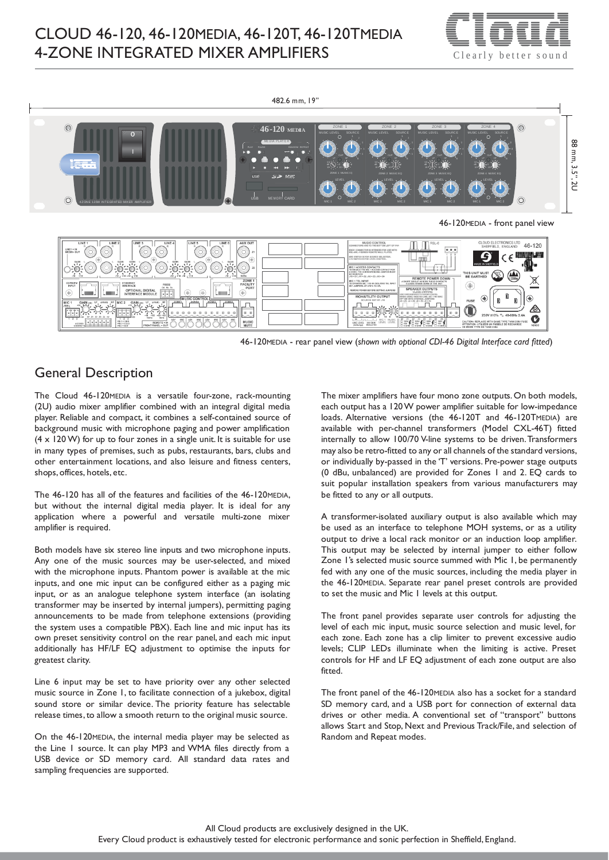



46-120MEDIA - rear panel view (*shown with optional CDI-46 Digital Interface card fitted*)

# General Description

The Cloud 46-120MEDIA is a versatile four-zone, rack-mounting (2U) audio mixer amplifier combined with an integral digital media player. Reliable and compact, it combines a self-contained source of background music with microphone paging and power amplification  $(4 \times 120 \text{ W})$  for up to four zones in a single unit. It is suitable for use in many types of premises, such as pubs, restaurants, bars, clubs and other entertainment locations, and also leisure and fitness centers, shops, offices, hotels, etc.

The 46-120 has all of the features and facilities of the 46-120MEDIA, but without the internal digital media player. It is ideal for any application where a powerful and versatile multi-zone mixer amplifier is required.

Both models have six stereo line inputs and two microphone inputs. Any one of the music sources may be user-selected, and mixed with the microphone inputs. Phantom power is available at the mic inputs, and one mic input can be configured either as a paging mic input, or as an analogue telephone system interface (an isolating transformer may be inserted by internal jumpers), permitting paging announcements to be made from telephone extensions (providing the system uses a compatible PBX). Each line and mic input has its own preset sensitivity control on the rear panel, and each mic input additionally has HF/LF EQ adjustment to optimise the inputs for greatest clarity.

Line 6 input may be set to have priority over any other selected music source in Zone 1, to facilitate connection of a jukebox, digital sound store or similar device. The priority feature has selectable release times, to allow a smooth return to the original music source.

On the 46-120MEDIA, the internal media player may be selected as the Line 1 source. It can play MP3 and WMA files directly from a USB device or SD memory card. All standard data rates and sampling frequencies are supported.

The mixer amplifiers have four mono zone outputs. On both models, each output has a 120W power amplifier suitable for low-impedance loads. Alternative versions (the 46-120T and 46-120TMEDIA) are available with per-channel transformers (Model CXL-46T) fitted internally to allow 100/70 V-line systems to be driven.Transformers may also be retro-fitted to any or all channels of the standard versions, or individually by-passed in the 'T' versions. Pre-power stage outputs (0 dBu, unbalanced) are provided for Zones 1 and 2. EQ cards to suit popular installation speakers from various manufacturers may be fitted to any or all outputs.

A transformer-isolated auxiliary output is also available which may be used as an interface to telephone MOH systems, or as a utility output to drive a local rack monitor or an induction loop amplifier. This output may be selected by internal jumper to either follow Zone 1's selected music source summed with Mic 1, be permanently fed with any one of the music sources, including the media player in the 46-120MEDIA. Separate rear panel preset controls are provided to set the music and Mic 1 levels at this output.

The front panel provides separate user controls for adjusting the level of each mic input, music source selection and music level, for each zone. Each zone has a clip limiter to prevent excessive audio levels; CLIP LEDs illuminate when the limiting is active. Preset controls for HF and LF EQ adjustment of each zone output are also fitted.

The front panel of the 46-120MEDIA also has a socket for a standard SD memory card, and a USB port for connection of external data drives or other media. A conventional set of "transport" buttons allows Start and Stop, Next and Previous Track/File, and selection of Random and Repeat modes.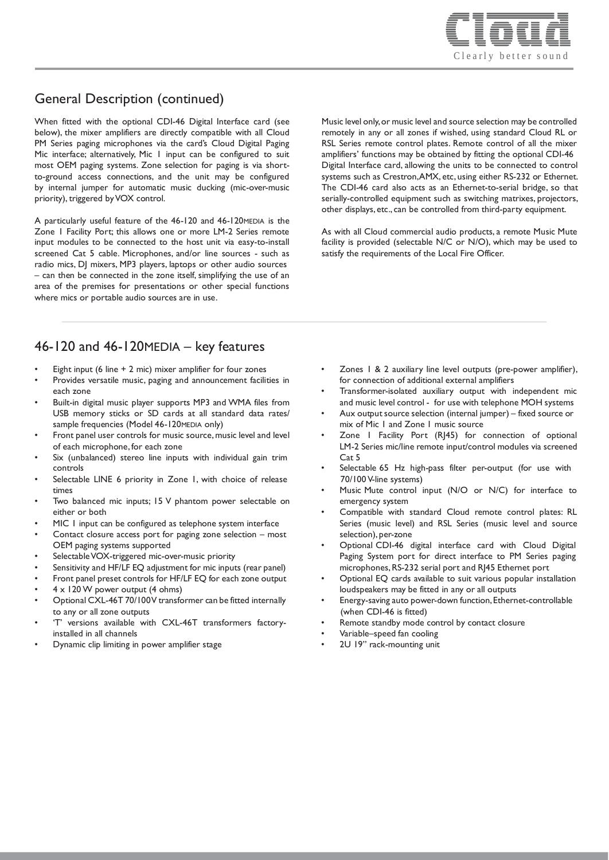

# General Description (continued)

When fitted with the optional CDI-46 Digital Interface card (see below), the mixer amplifiers are directly compatible with all Cloud PM Series paging microphones via the card's Cloud Digital Paging Mic interface; alternatively, Mic 1 input can be configured to suit most OEM paging systems. Zone selection for paging is via shortto-ground access connections, and the unit may be configured by internal jumper for automatic music ducking (mic-over-music priority), triggered byVOX control.

A particularly useful feature of the 46-120 and 46-120MEDIA is the Zone 1 Facility Port; this allows one or more LM-2 Series remote input modules to be connected to the host unit via easy-to-install screened Cat 5 cable. Microphones, and/or line sources - such as radio mics, DJ mixers, MP3 players, laptops or other audio sources – can then be connected in the zone itself, simplifying the use of an area of the premises for presentations or other special functions where mics or portable audio sources are in use.

46-120 and 46-120MEDIA – key features

- Eight input (6 line  $+$  2 mic) mixer amplifier for four zones
- Provides versatile music, paging and announcement facilities in each zone
- Built-in digital music player supports MP3 and WMA files from USB memory sticks or SD cards at all standard data rates/ sample frequencies (Model 46-120MEDIA only)
- Front panel user controls for music source, music level and level of each microphone, for each zone
- Six (unbalanced) stereo line inputs with individual gain trim controls
- Selectable LINE 6 priority in Zone 1, with choice of release times
- Two balanced mic inputs; 15 V phantom power selectable on either or both
- MIC I input can be configured as telephone system interface
- Contact closure access port for paging zone selection most OEM paging systems supported
- Selectable VOX-triggered mic-over-music priority
- Sensitivity and HF/LF EQ adjustment for mic inputs (rear panel)
- Front panel preset controls for HF/LF EQ for each zone output
- $4 \times 120$  W power output (4 ohms)
- Optional CXL-46T 70/100V transformer can be fitted internally to any or all zone outputs
- 'T' versions available with CXL-46T transformers factoryinstalled in all channels
- Dynamic clip limiting in power amplifier stage

• Zones 1 & 2 auxiliary line level outputs (pre-power amplifier), for connection of additional external amplifiers

Music level only,or music level and source selection may be controlled remotely in any or all zones if wished, using standard Cloud RL or RSL Series remote control plates. Remote control of all the mixer amplifiers' functions may be obtained by fitting the optional CDI-46 Digital Interface card, allowing the units to be connected to control systems such as Crestron,AMX, etc, using either RS-232 or Ethernet. The CDI-46 card also acts as an Ethernet-to-serial bridge, so that serially-controlled equipment such as switching matrixes, projectors, other displays, etc., can be controlled from third-party equipment.

As with all Cloud commercial audio products, a remote Music Mute facility is provided (selectable N/C or N/O), which may be used to

satisfy the requirements of the Local Fire Officer.

- Transformer-isolated auxiliary output with independent mic and music level control - for use with telephone MOH systems
- Aux output source selection (internal jumper) fixed source or mix of Mic 1 and Zone 1 music source
- Zone I Facility Port (RJ45) for connection of optional LM-2 Series mic/line remote input/control modules via screened Cat 5
- Selectable 65 Hz high-pass filter per-output (for use with 70/100 V-line systems)
- Music Mute control input (N/O or N/C) for interface to emergency system
- Compatible with standard Cloud remote control plates: RL Series (music level) and RSL Series (music level and source selection), per-zone
- Optional CDI-46 digital interface card with Cloud Digital Paging System port for direct interface to PM Series paging microphones,RS-232 serial port and RJ45 Ethernet port
- Optional EQ cards available to suit various popular installation loudspeakers may be fitted in any or all outputs
- Energy-saving auto power-down function,Ethernet-controllable (when CDI-46 is fitted)
- Remote standby mode control by contact closure
- Variable–speed fan cooling
- 2U 19" rack-mounting unit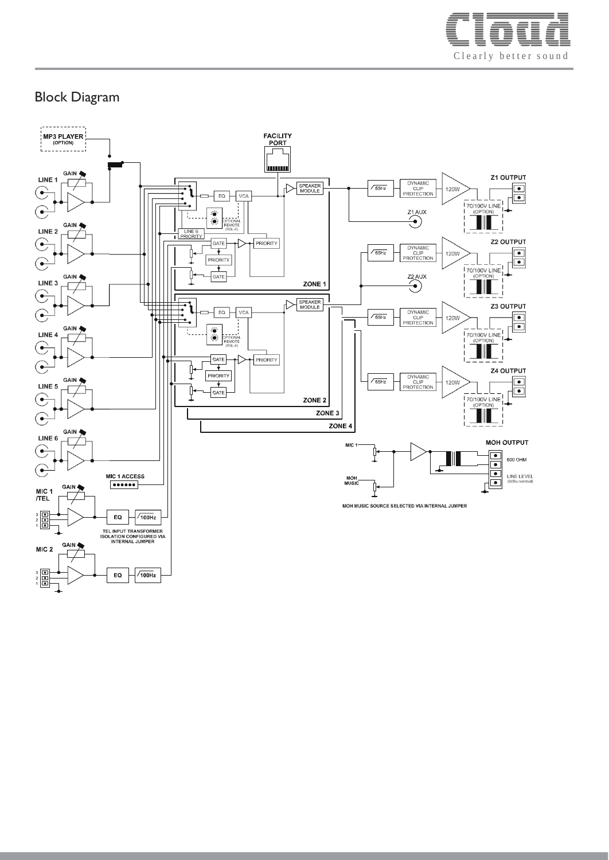

# Block Diagram

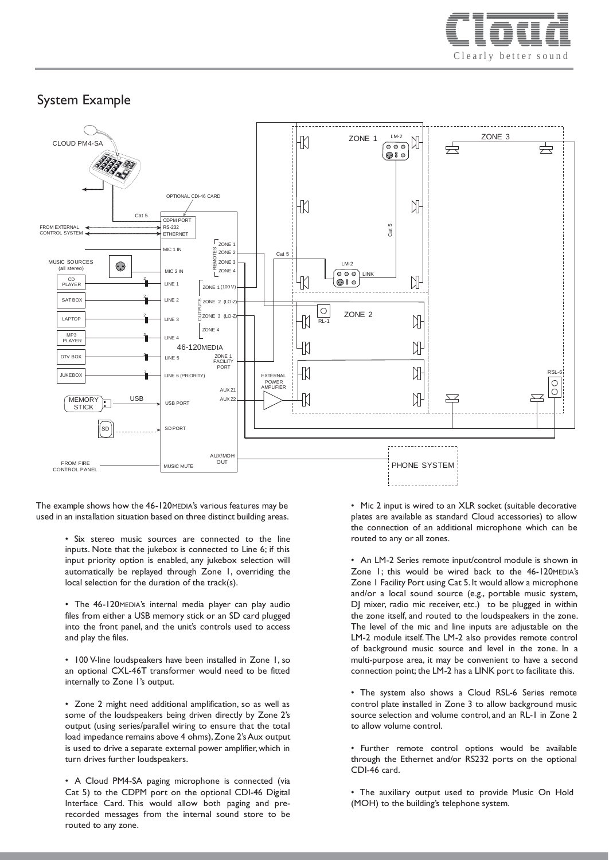

## System Example



The example shows how the 46-120MEDIA's various features may be used in an installation situation based on three distinct building areas.

> • Six stereo music sources are connected to the line inputs. Note that the jukebox is connected to Line 6; if this input priority option is enabled, any jukebox selection will automatically be replayed through Zone 1, overriding the local selection for the duration of the track(s).

> • The 46-120MEDIA's internal media player can play audio files from either a USB memory stick or an SD card plugged into the front panel, and the unit's controls used to access and play the files.

> • 100 V-line loudspeakers have been installed in Zone 1, so an optional CXL-46T transformer would need to be fitted internally to Zone 1's output.

> • Zone 2 might need additional amplification, so as well as some of the loudspeakers being driven directly by Zone 2's output (using series/parallel wiring to ensure that the total load impedance remains above 4 ohms), Zone 2's Aux output is used to drive a separate external power amplifier,which in turn drives further loudspeakers.

> • A Cloud PM4-SA paging microphone is connected (via Cat 5) to the CDPM port on the optional CDI-46 Digital Interface Card. This would allow both paging and prerecorded messages from the internal sound store to be routed to any zone.

• Mic 2 input is wired to an XLR socket (suitable decorative plates are available as standard Cloud accessories) to allow the connection of an additional microphone which can be routed to any or all zones.

• An LM-2 Series remote input/control module is shown in Zone 1; this would be wired back to the 46-120MEDIA's Zone 1 Facility Port using Cat 5. It would allow a microphone and/or a local sound source (e.g., portable music system, DJ mixer, radio mic receiver, etc.) to be plugged in within the zone itself, and routed to the loudspeakers in the zone. The level of the mic and line inputs are adjustable on the LM-2 module itself.The LM-2 also provides remote control of background music source and level in the zone. In a multi-purpose area, it may be convenient to have a second connection point; the LM-2 has a LINK port to facilitate this.

• The system also shows a Cloud RSL-6 Series remote control plate installed in Zone 3 to allow background music source selection and volume control, and an RL-1 in Zone 2 to allow volume control.

• Further remote control options would be available through the Ethernet and/or RS232 ports on the optional CDI-46 card.

• The auxiliary output used to provide Music On Hold (MOH) to the building's telephone system.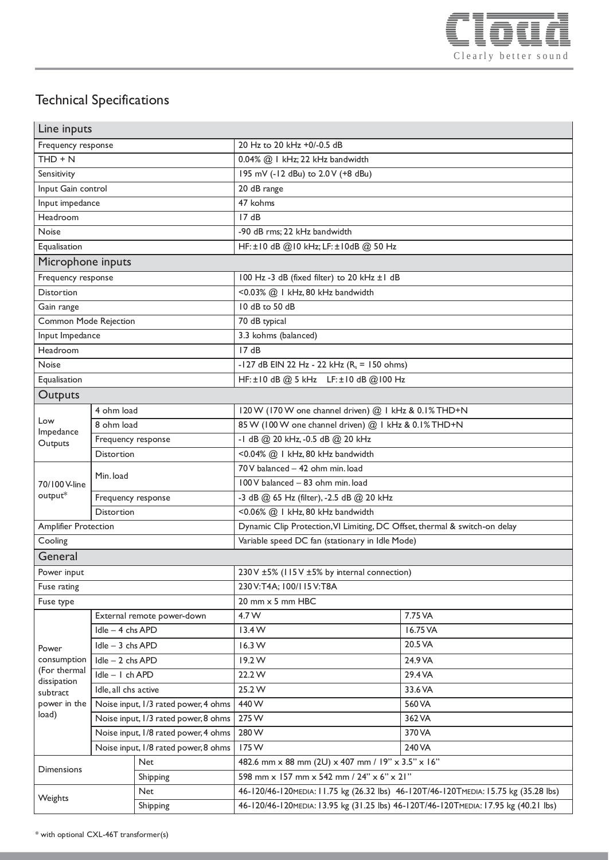

# Technical Specifications

| Line inputs                       |                                      |          |                                                                                      |          |
|-----------------------------------|--------------------------------------|----------|--------------------------------------------------------------------------------------|----------|
| Frequency response                |                                      |          | 20 Hz to 20 kHz +0/-0.5 dB                                                           |          |
| $THD + N$                         |                                      |          | 0.04% @ 1 kHz; 22 kHz bandwidth                                                      |          |
| Sensitivity                       |                                      |          | 195 mV (-12 dBu) to 2.0 V (+8 dBu)                                                   |          |
| Input Gain control                |                                      |          | 20 dB range                                                                          |          |
| Input impedance                   |                                      |          | 47 kohms                                                                             |          |
| Headroom                          |                                      |          | 17dB                                                                                 |          |
| Noise                             |                                      |          | -90 dB rms; 22 kHz bandwidth                                                         |          |
| Equalisation                      |                                      |          | HF: ±10 dB @10 kHz; LF: ±10dB @ 50 Hz                                                |          |
| Microphone inputs                 |                                      |          |                                                                                      |          |
| Frequency response                |                                      |          | 100 Hz -3 dB (fixed filter) to 20 kHz ±1 dB                                          |          |
| <b>Distortion</b>                 |                                      |          | <0.03% @   kHz, 80 kHz bandwidth                                                     |          |
| Gain range                        |                                      |          | 10 dB to 50 dB                                                                       |          |
| Common Mode Rejection             |                                      |          | 70 dB typical                                                                        |          |
| Input Impedance                   |                                      |          | 3.3 kohms (balanced)                                                                 |          |
| Headroom                          |                                      |          | 17dB                                                                                 |          |
| Noise                             |                                      |          | -127 dB EIN 22 Hz - 22 kHz $(R_s = 150 \text{ ohms})$                                |          |
| Equalisation                      |                                      |          | HF: ±10 dB @ 5 kHz LF: ±10 dB @ 100 Hz                                               |          |
| Outputs                           |                                      |          |                                                                                      |          |
| Low<br>Impedance<br>Outputs       | 4 ohm load                           |          | 120 W (170 W one channel driven) @ 1 kHz & 0.1% THD+N                                |          |
|                                   | 8 ohm load                           |          | 85 W (100 W one channel driven) @ 1 kHz & 0.1% THD+N                                 |          |
|                                   | Frequency response                   |          | -1 dB @ 20 kHz, -0.5 dB @ 20 kHz                                                     |          |
|                                   | Distortion                           |          | <0.04% @   kHz, 80 kHz bandwidth                                                     |          |
| 70/100 V-line<br>output*          | Min. load                            |          | 70 V balanced - 42 ohm min. load                                                     |          |
|                                   |                                      |          | 100 V balanced - 83 ohm min. load                                                    |          |
|                                   | Frequency response                   |          | -3 dB @ 65 Hz (filter), -2.5 dB @ 20 kHz                                             |          |
|                                   | <b>Distortion</b>                    |          | <0.06% @   kHz, 80 kHz bandwidth                                                     |          |
| <b>Amplifier Protection</b>       |                                      |          | Dynamic Clip Protection, VI Limiting, DC Offset, thermal & switch-on delay           |          |
| Cooling                           |                                      |          | Variable speed DC fan (stationary in Idle Mode)                                      |          |
| General                           |                                      |          |                                                                                      |          |
| Power input                       |                                      |          | 230 V ±5% (115 V ±5% by internal connection)                                         |          |
| Fuse rating                       |                                      |          | 230 V:T4A; 100/115 V:T8A                                                             |          |
| Fuse type                         |                                      |          | 20 mm x 5 mm HBC                                                                     |          |
| Power<br>consumption              | External remote power-down           |          | 4.7 W                                                                                | 7.75 VA  |
|                                   | Idle - 4 chs APD                     |          | 13.4W                                                                                | 16.75 VA |
|                                   | Idle - 3 chs APD                     |          | 16.3 W                                                                               | 20.5 VA  |
|                                   | Idle - 2 chs APD                     |          | 19.2 W                                                                               | 24.9 VA  |
| (For thermal                      | Idle - I ch APD                      |          | 22.2 W                                                                               | 29.4 VA  |
| dissipation<br>subtract           | Idle, all chs active                 |          | 25.2W                                                                                | 33.6 VA  |
| power in the<br>load)             | Noise input, I/3 rated power, 4 ohms |          | 440 W                                                                                | 560 VA   |
|                                   | Noise input, I/3 rated power, 8 ohms |          | 275W                                                                                 | 362 VA   |
|                                   | Noise input, I/8 rated power, 4 ohms |          | 280 W                                                                                | 370 VA   |
|                                   | Noise input, I/8 rated power, 8 ohms |          | 175W                                                                                 | 240 VA   |
|                                   | <b>Net</b>                           |          | 482.6 mm x 88 mm (2U) x 407 mm / 19" x 3.5" x 16"                                    |          |
| Dimensions                        |                                      | Shipping | 598 mm x 157 mm x 542 mm / 24" x 6" x 21"                                            |          |
| <b>Net</b><br>Weights<br>Shipping |                                      |          | 46-120/46-120MEDIA: 11.75 kg (26.32 lbs) 46-120T/46-120TMEDIA: 15.75 kg (35.28 lbs)  |          |
|                                   |                                      |          | 46-120/46-120 MEDIA: 13.95 kg (31.25 lbs) 46-120T/46-120TMEDIA: 17.95 kg (40.21 lbs) |          |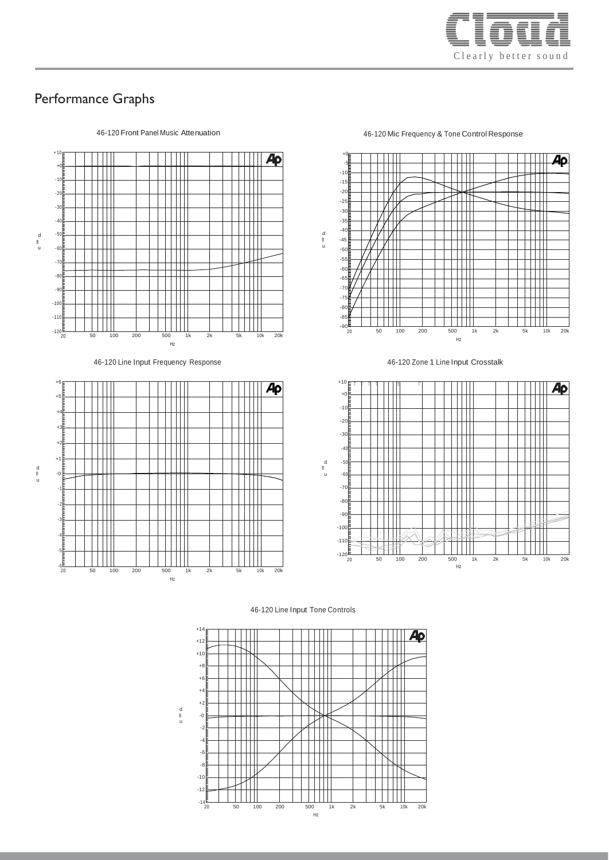

## Performance Graphs



46-120 Line Input Frequency Response 46-120 Zone 1 Line Input Crosstalk



## 46-120 Front Panel Music Attenuation 46-120 Mic Frequency & Tone Control Response





#### 46-120 Line Input Tone Controls



d u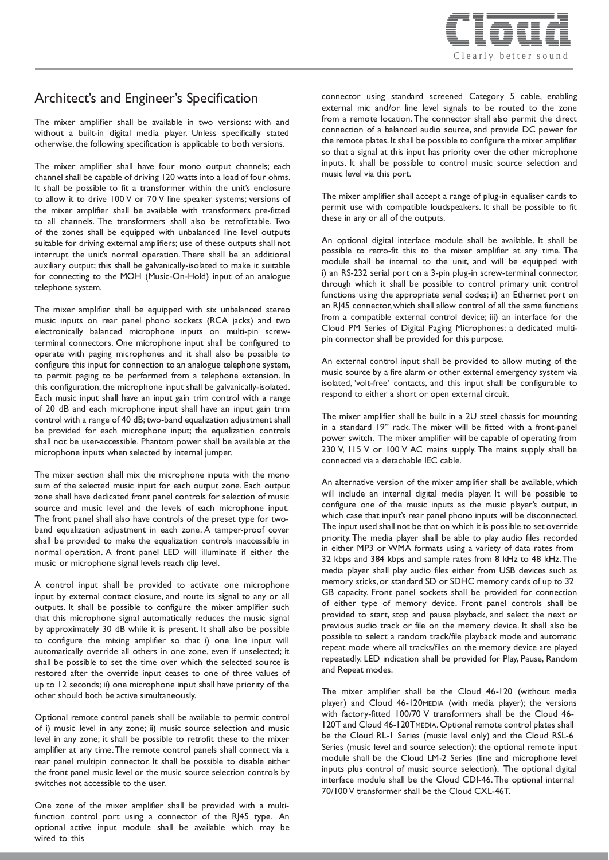

## Architect's and Engineer's Specification

The mixer amplifier shall be available in two versions: with and without a built-in digital media player. Unless specifically stated otherwise, the following specification is applicable to both versions.

The mixer amplifier shall have four mono output channels; each channel shall be capable of driving 120 watts into a load of four ohms. It shall be possible to fit a transformer within the unit's enclosure to allow it to drive 100 V or 70 V line speaker systems; versions of the mixer amplifier shall be available with transformers pre-fitted to all channels. The transformers shall also be retrofittable. Two of the zones shall be equipped with unbalanced line level outputs suitable for driving external amplifiers; use of these outputs shall not interrupt the unit's normal operation. There shall be an additional auxiliary output; this shall be galvanically-isolated to make it suitable for connecting to the MOH (Music-On-Hold) input of an analogue telephone system.

The mixer amplifier shall be equipped with six unbalanced stereo music inputs on rear panel phono sockets (RCA jacks) and two electronically balanced microphone inputs on multi-pin screwterminal connectors. One microphone input shall be configured to operate with paging microphones and it shall also be possible to configure this input for connection to an analogue telephone system, to permit paging to be performed from a telephone extension. In this configuration, the microphone input shall be galvanically-isolated. Each music input shall have an input gain trim control with a range of 20 dB and each microphone input shall have an input gain trim control with a range of 40 dB; two-band equalization adjustment shall be provided for each microphone input; the equalization controls shall not be user-accessible. Phantom power shall be available at the microphone inputs when selected by internal jumper.

The mixer section shall mix the microphone inputs with the mono sum of the selected music input for each output zone. Each output zone shall have dedicated front panel controls for selection of music source and music level and the levels of each microphone input. The front panel shall also have controls of the preset type for twoband equalization adjustment in each zone. A tamper-proof cover shall be provided to make the equalization controls inaccessible in normal operation. A front panel LED will illuminate if either the music or microphone signal levels reach clip level.

A control input shall be provided to activate one microphone input by external contact closure, and route its signal to any or all outputs. It shall be possible to configure the mixer amplifier such that this microphone signal automatically reduces the music signal by approximately 30 dB while it is present. It shall also be possible to configure the mixing amplifier so that i) one line input will automatically override all others in one zone, even if unselected; it shall be possible to set the time over which the selected source is restored after the override input ceases to one of three values of up to 12 seconds; ii) one microphone input shall have priority of the other should both be active simultaneously.

Optional remote control panels shall be available to permit control of i) music level in any zone; ii) music source selection and music level in any zone; it shall be possible to retrofit these to the mixer amplifier at any time.The remote control panels shall connect via a rear panel multipin connector. It shall be possible to disable either the front panel music level or the music source selection controls by switches not accessible to the user.

One zone of the mixer amplifier shall be provided with a multifunction control port using a connector of the RJ45 type. An optional active input module shall be available which may be wired to this

connector using standard screened Category 5 cable, enabling external mic and/or line level signals to be routed to the zone from a remote location.The connector shall also permit the direct connection of a balanced audio source, and provide DC power for the remote plates. It shall be possible to configure the mixer amplifier so that a signal at this input has priority over the other microphone inputs. It shall be possible to control music source selection and music level via this port.

The mixer amplifier shall accept a range of plug-in equaliser cards to permit use with compatible loudspeakers. It shall be possible to fit these in any or all of the outputs.

An optional digital interface module shall be available. It shall be possible to retro-fit this to the mixer amplifier at any time. The module shall be internal to the unit, and will be equipped with i) an RS-232 serial port on a 3-pin plug-in screw-terminal connector, through which it shall be possible to control primary unit control functions using the appropriate serial codes; ii) an Ethernet port on an RJ45 connector,which shall allow control of all the same functions from a compatible external control device; iii) an interface for the Cloud PM Series of Digital Paging Microphones; a dedicated multipin connector shall be provided for this purpose.

An external control input shall be provided to allow muting of the music source by a fire alarm or other external emergency system via isolated, 'volt-free' contacts, and this input shall be configurable to respond to either a short or open external circuit.

The mixer amplifier shall be built in a 2U steel chassis for mounting in a standard 19" rack. The mixer will be fitted with a front-panel power switch. The mixer amplifier will be capable of operating from 230 V, 115 V or 100 V AC mains supply. The mains supply shall be connected via a detachable IEC cable.

An alternative version of the mixer amplifier shall be available, which will include an internal digital media player. It will be possible to configure one of the music inputs as the music player's output, in which case that input's rear panel phono inputs will be disconnected. The input used shall not be that on which it is possible to set override priority.The media player shall be able to play audio files recorded in either MP3 or WMA formats using a variety of data rates from 32 kbps and 384 kbps and sample rates from 8 kHz to 48 kHz.The media player shall play audio files either from USB devices such as memory sticks, or standard SD or SDHC memory cards of up to 32 GB capacity. Front panel sockets shall be provided for connection of either type of memory device. Front panel controls shall be provided to start, stop and pause playback, and select the next or previous audio track or file on the memory device. It shall also be possible to select a random track/file playback mode and automatic repeat mode where all tracks/files on the memory device are played repeatedly. LED indication shall be provided for Play, Pause, Random and Repeat modes.

The mixer amplifier shall be the Cloud 46-120 (without media player) and Cloud 46-120MEDIA (with media player); the versions with factory-fitted 100/70 V transformers shall be the Cloud 46- 120T and Cloud 46-120TMEDIA. Optional remote control plates shall be the Cloud RL-1 Series (music level only) and the Cloud RSL-6 Series (music level and source selection); the optional remote input module shall be the Cloud LM-2 Series (line and microphone level inputs plus control of music source selection). The optional digital interface module shall be the Cloud CDI-46.The optional internal 70/100V transformer shall be the Cloud CXL-46T.